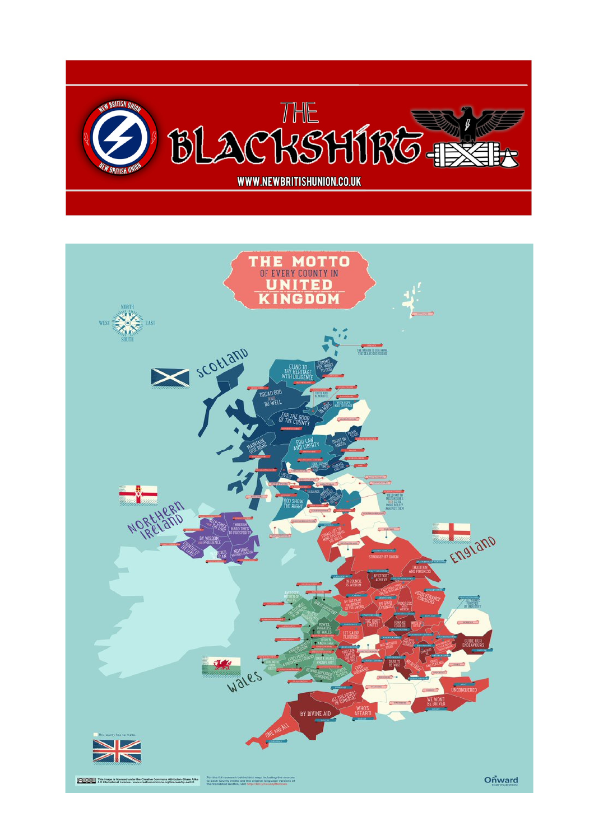

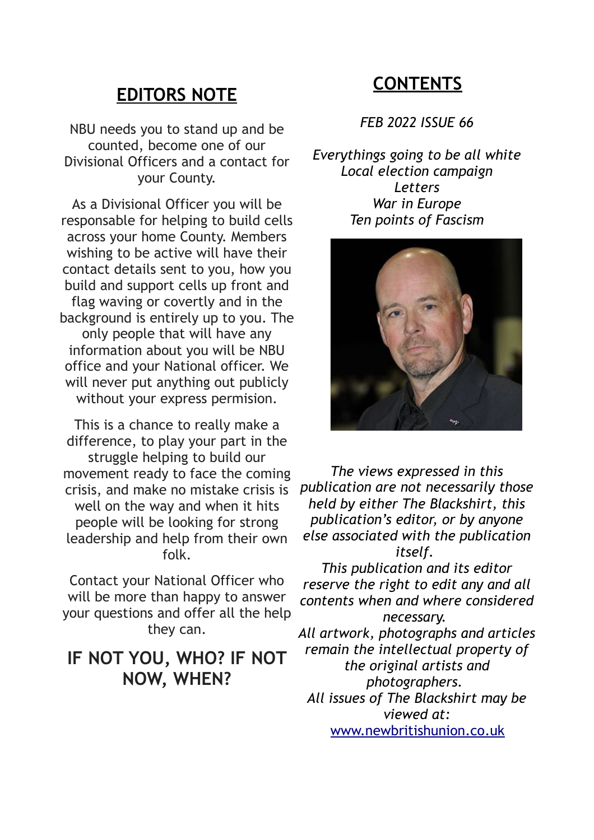#### **EDITORS NOTE**

NBU needs you to stand up and be counted, become one of our Divisional Officers and a contact for your County.

As a Divisional Officer you will be responsable for helping to build cells across your home County. Members wishing to be active will have their contact details sent to you, how you build and support cells up front and flag waving or covertly and in the background is entirely up to you. The only people that will have any information about you will be NBU office and your National officer. We will never put anything out publicly without your express permision.

This is a chance to really make a difference, to play your part in the struggle helping to build our movement ready to face the coming crisis, and make no mistake crisis is well on the way and when it hits people will be looking for strong leadership and help from their own folk.

Contact your National Officer who will be more than happy to answer your questions and offer all the help they can.

# **IF NOT YOU, WHO? IF NOT NOW, WHEN?**

# **CONTENTS**

*FEB 2022 ISSUE 66*

*Everythings going to be all white Local election campaign Letters War in Europe Ten points of Fascism*



*The views expressed in this publication are not necessarily those held by either The Blackshirt, this publication's editor, or by anyone else associated with the publication itself.* 

*This publication and its editor reserve the right to edit any and all contents when and where considered necessary. All artwork, photographs and articles remain the intellectual property of the original artists and*

*photographers. All issues of The Blackshirt may be viewed at:*

[www.newbritishunion.co.uk](http://www.newbritishunion.co.uk/)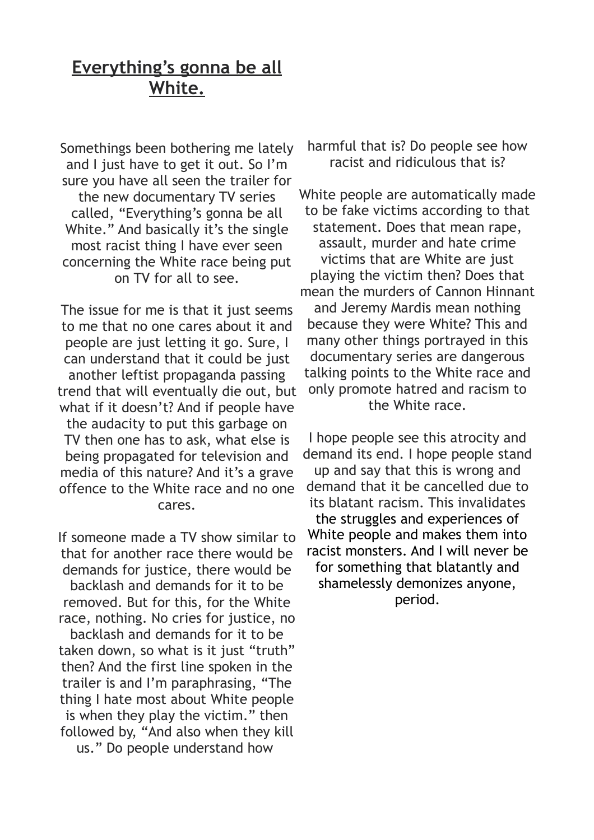# **Everything's gonna be all White.**

Somethings been bothering me lately and I just have to get it out. So I'm sure you have all seen the trailer for the new documentary TV series called, "Everything's gonna be all White." And basically it's the single most racist thing I have ever seen concerning the White race being put on TV for all to see.

The issue for me is that it just seems to me that no one cares about it and people are just letting it go. Sure, I can understand that it could be just another leftist propaganda passing trend that will eventually die out, but what if it doesn't? And if people have the audacity to put this garbage on TV then one has to ask, what else is being propagated for television and media of this nature? And it's a grave offence to the White race and no one cares.

If someone made a TV show similar to that for another race there would be demands for justice, there would be backlash and demands for it to be removed. But for this, for the White race, nothing. No cries for justice, no backlash and demands for it to be taken down, so what is it just "truth" then? And the first line spoken in the trailer is and I'm paraphrasing, "The thing I hate most about White people is when they play the victim." then followed by, "And also when they kill us." Do people understand how

harmful that is? Do people see how racist and ridiculous that is?

White people are automatically made to be fake victims according to that statement. Does that mean rape, assault, murder and hate crime victims that are White are just playing the victim then? Does that mean the murders of Cannon Hinnant and Jeremy Mardis mean nothing because they were White? This and many other things portrayed in this documentary series are dangerous talking points to the White race and only promote hatred and racism to the White race.

I hope people see this atrocity and demand its end. I hope people stand up and say that this is wrong and demand that it be cancelled due to its blatant racism. This invalidates the struggles and experiences of White people and makes them into racist monsters. And I will never be for something that blatantly and shamelessly demonizes anyone, period.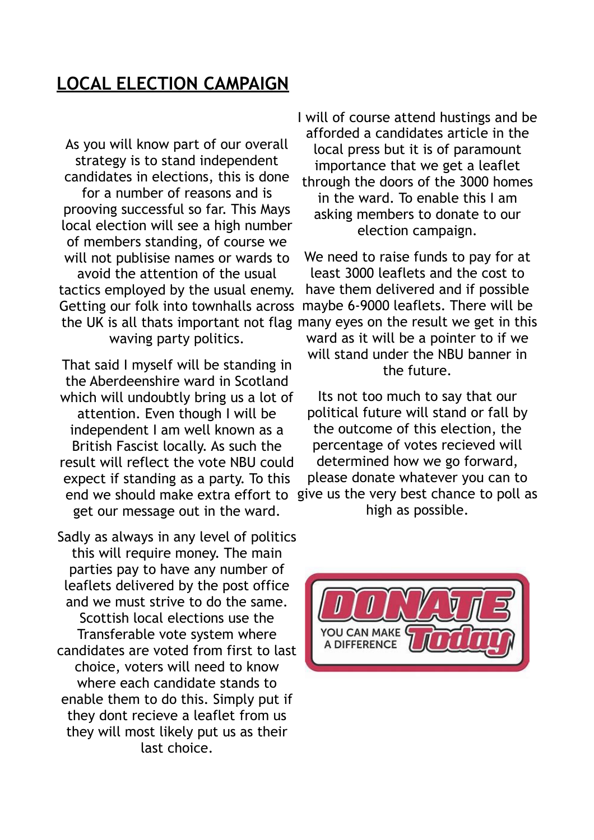# **LOCAL ELECTION CAMPAIGN**

As you will know part of our overall strategy is to stand independent candidates in elections, this is done for a number of reasons and is prooving successful so far. This Mays local election will see a high number of members standing, of course we will not publisise names or wards to avoid the attention of the usual tactics employed by the usual enemy. Getting our folk into townhalls across waving party politics.

That said I myself will be standing in the Aberdeenshire ward in Scotland which will undoubtly bring us a lot of attention. Even though I will be independent I am well known as a British Fascist locally. As such the result will reflect the vote NBU could expect if standing as a party. To this get our message out in the ward.

Sadly as always in any level of politics this will require money. The main parties pay to have any number of leaflets delivered by the post office and we must strive to do the same. Scottish local elections use the Transferable vote system where candidates are voted from first to last choice, voters will need to know where each candidate stands to enable them to do this. Simply put if they dont recieve a leaflet from us they will most likely put us as their last choice.

I will of course attend hustings and be afforded a candidates article in the local press but it is of paramount importance that we get a leaflet through the doors of the 3000 homes in the ward. To enable this I am asking members to donate to our election campaign.

the UK is all thats important not flag many eyes on the result we get in this We need to raise funds to pay for at least 3000 leaflets and the cost to have them delivered and if possible maybe 6-9000 leaflets. There will be ward as it will be a pointer to if we will stand under the NBU banner in the future.

end we should make extra effort to give us the very best chance to poll as Its not too much to say that our political future will stand or fall by the outcome of this election, the percentage of votes recieved will determined how we go forward, please donate whatever you can to high as possible.

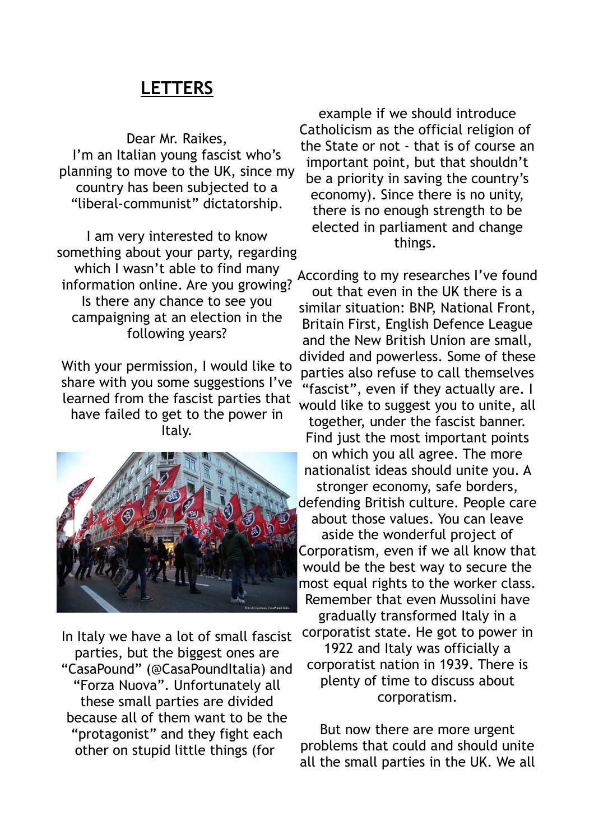### **LETTERS**

Dear Mr. Raikes, I'm an Italian young fascist who's planning to move to the UK, since my country has been subjected to a "liberal-communist" dictatorship.

I am very interested to know something about your party, regarding which I wasn't able to find many information online. Are you growing? Is there any chance to see you campaigning at an election in the following years?

With your permission, I would like to share with you some suggestions I've learned from the fascist parties that have failed to get to the power in Italy.



In Italy we have a lot of small fascist parties, but the biggest ones are "CasaPound" (@CasaPoundItalia) and "Forza Nuova". Unfortunately all these small parties are divided because all of them want to be the "protagonist" and they fight each other on stupid little things (for

example if we should introduce Catholicism as the official religion of the State or not - that is of course an important point, but that shouldn't be a priority in saving the country's economy). Since there is no unity, there is no enough strength to be elected in parliament and change things.

According to my researches I've found out that even in the UK there is a similar situation: BNP, National Front, Britain First, English Defence League and the New British Union are small, divided and powerless. Some of these parties also refuse to call themselves "fascist", even if they actually are. I would like to suggest you to unite, all together, under the fascist banner. Find just the most important points on which you all agree. The more nationalist ideas should unite you. A stronger economy, safe borders, defending British culture. People care about those values. You can leave aside the wonderful project of Corporatism, even if we all know that would be the best way to secure the most equal rights to the worker class. Remember that even Mussolini have gradually transformed Italy in a corporatist state. He got to power in 1922 and Italy was officially a corporatist nation in 1939. There is plenty of time to discuss about corporatism.

But now there are more urgent problems that could and should unite all the small parties in the UK. We all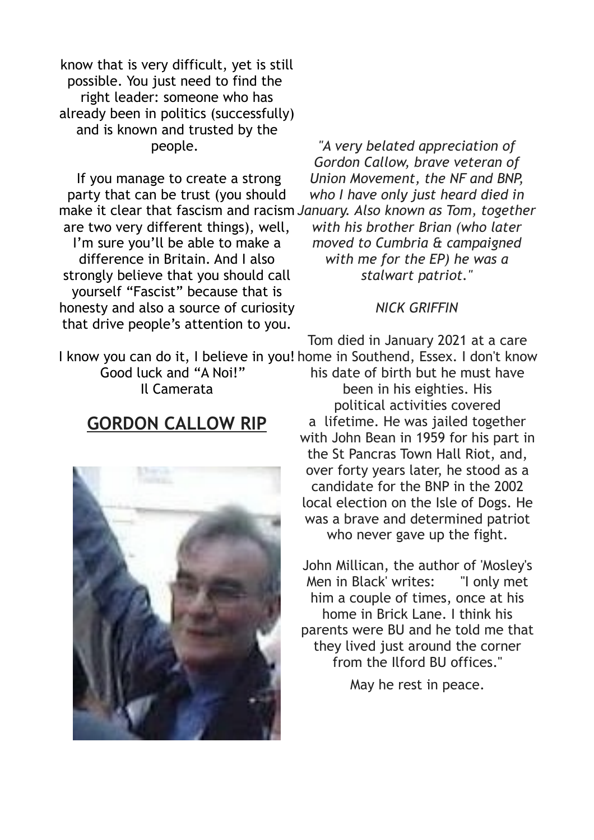know that is very difficult, yet is still possible. You just need to find the right leader: someone who has already been in politics (successfully) and is known and trusted by the people.

If you manage to create a strong party that can be trust (you should make it clear that fascism and racism *January. Also known as Tom, together* are two very different things), well, I'm sure you'll be able to make a difference in Britain. And I also strongly believe that you should call yourself "Fascist" because that is honesty and also a source of curiosity that drive people's attention to you.

*"A very belated appreciation of Gordon Callow, brave veteran of Union Movement, the NF and BNP, who I have only just heard died in with his brother Brian (who later moved to Cumbria & campaigned with me for the EP) he was a stalwart patriot."*

#### *NICK GRIFFIN*

Tom died in January 2021 at a care

I know you can do it, I believe in you! home in Southend, Essex. I don't know Good luck and "A Noi!" Il Camerata his date of birth but he must have

#### **GORDON CALLOW RIP**



been in his eighties. His political activities covered a lifetime. He was jailed together with John Bean in 1959 for his part in the St Pancras Town Hall Riot, and, over forty years later, he stood as a candidate for the BNP in the 2002 local election on the Isle of Dogs. He was a brave and determined patriot who never gave up the fight.

John Millican, the author of 'Mosley's Men in Black' writes: "I only met him a couple of times, once at his home in Brick Lane. I think his parents were BU and he told me that they lived just around the corner from the Ilford BU offices."

May he rest in peace.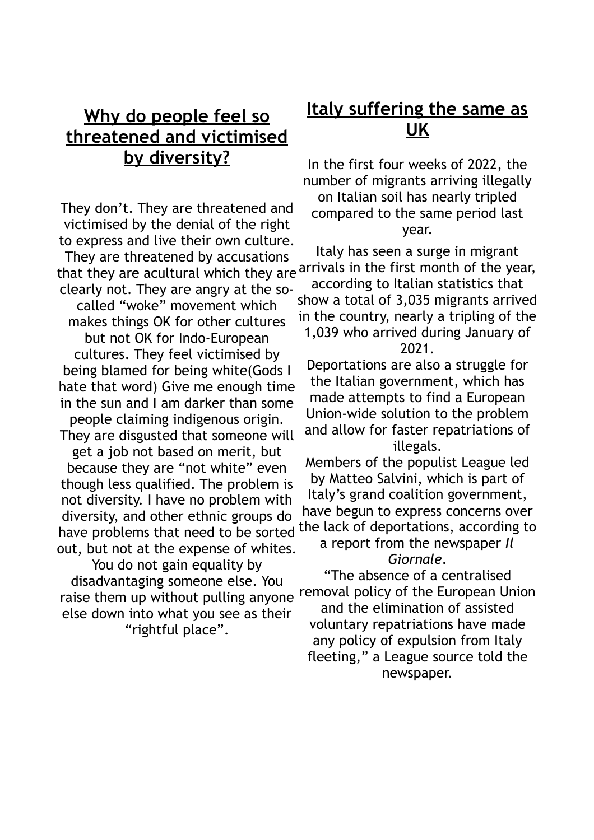# **[Why do people feel so](https://itsoktobewhite.quora.com/Why-do-people-on-it-s-ok-to-be-white-feel-so-threatened-and-victimised-by-diversity) [threatened and victimised](https://itsoktobewhite.quora.com/Why-do-people-on-it-s-ok-to-be-white-feel-so-threatened-and-victimised-by-diversity) [by diversity?](https://itsoktobewhite.quora.com/Why-do-people-on-it-s-ok-to-be-white-feel-so-threatened-and-victimised-by-diversity)**

They don't. They are threatened and victimised by the denial of the right to express and live their own culture.

They are threatened by accusations that they are acultural which they are arrivals in the first month of the year, clearly not. They are angry at the socalled "woke" movement which makes things OK for other cultures but not OK for Indo-European cultures. They feel victimised by being blamed for being white(Gods I hate that word) Give me enough time in the sun and I am darker than some

people claiming indigenous origin. They are disgusted that someone will

get a job not based on merit, but because they are "not white" even though less qualified. The problem is not diversity. I have no problem with diversity, and other ethnic groups do have problems that need to be sorted out, but not at the expense of whites.

You do not gain equality by disadvantaging someone else. You raise them up without pulling anyone else down into what you see as their "rightful place".

### **Italy suffering the same as UK**

In the first four weeks of 2022, the number of migrants arriving illegally on Italian soil has nearly tripled compared to the same period last year.

Italy has seen a surge in migrant according to Italian statistics that show a total of 3,035 migrants arrived in the country, nearly a tripling of the

#### 1,039 who arrived during January of 2021.

Deportations are also a struggle for the Italian government, which has made attempts to find a European Union-wide solution to the problem and allow for faster repatriations of illegals.

Members of the populist League led by Matteo Salvini, which is part of Italy's grand coalition government, have begun to express concerns over the lack of deportations, according to

#### a report from the newspaper *Il Giornale*.

"The absence of a centralised removal policy of the European Union and the elimination of assisted voluntary repatriations have made any policy of expulsion from Italy fleeting," a League source told the newspaper.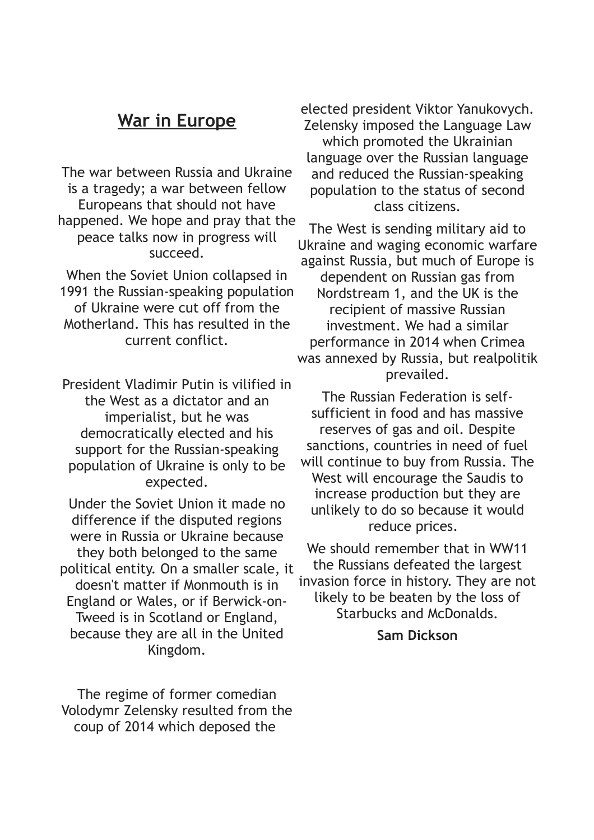#### **War in Europe**

The war between Russia and Ukraine is a tragedy; a war between fellow Europeans that should not have happened. We hope and pray that the peace talks now in progress will succeed.

When the Soviet Union collapsed in 1991 the Russian-speaking population of Ukraine were cut off from the Motherland. This has resulted in the current conflict.

President Vladimir Putin is vilified in the West as a dictator and an imperialist, but he was democratically elected and his support for the Russian-speaking population of Ukraine is only to be expected.

Under the Soviet Union it made no difference if the disputed regions were in Russia or Ukraine because they both belonged to the same political entity. On a smaller scale, it doesn't matter if Monmouth is in England or Wales, or if Berwick-on-Tweed is in Scotland or England, because they are all in the United Kingdom.

The regime of former comedian Volodymr Zelensky resulted from the coup of 2014 which deposed the

elected president Viktor Yanukovych. Zelensky imposed the Language Law which promoted the Ukrainian language over the Russian language and reduced the Russian-speaking population to the status of second class citizens.

The West is sending military aid to Ukraine and waging economic warfare against Russia, but much of Europe is dependent on Russian gas from Nordstream 1, and the UK is the recipient of massive Russian investment. We had a similar performance in 2014 when Crimea was annexed by Russia, but realpolitik prevailed.

The Russian Federation is selfsufficient in food and has massive reserves of gas and oil. Despite sanctions, countries in need of fuel will continue to buy from Russia. The West will encourage the Saudis to increase production but they are unlikely to do so because it would reduce prices.

We should remember that in WW11 the Russians defeated the largest invasion force in history. They are not likely to be beaten by the loss of Starbucks and McDonalds.

#### **Sam Dickson**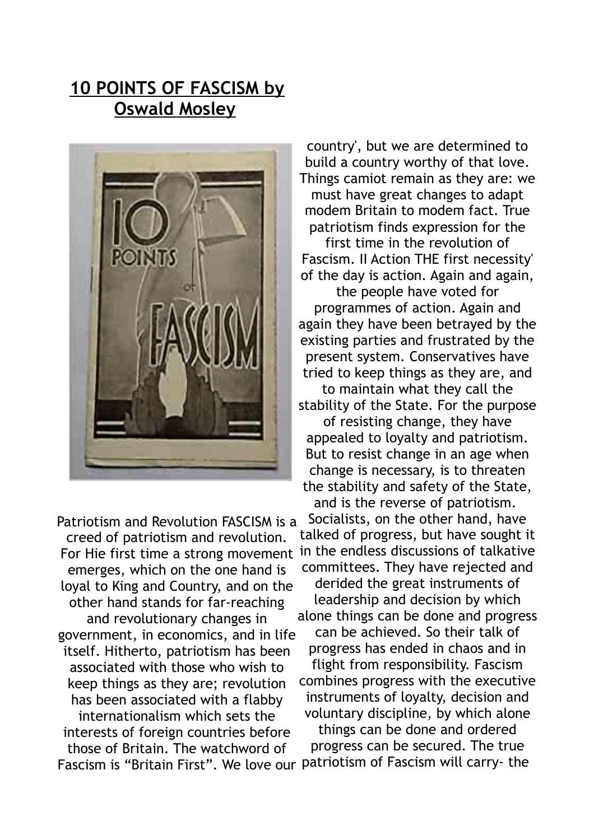### **10 POINTS OF FASCISM by Oswald Mosley**



Patriotism and Revolution FASCISM is a creed of patriotism and revolution. emerges, which on the one hand is loyal to King and Country, and on the other hand stands for far-reaching and revolutionary changes in government, in economics, and in life itself. Hitherto, patriotism has been associated with those who wish to keep things as they are; revolution has been associated with a flabby internationalism which sets the interests of foreign countries before those of Britain. The watchword of Fascism is "Britain First". We love our patriotism of Fascism will carry- the

country', but we are determined to build a country worthy of that love. Things camiot remain as they are: we must have great changes to adapt modem Britain to modem fact. True patriotism finds expression for the

first time in the revolution of Fascism. II Action THE first necessity' of the day is action. Again and again,

the people have voted for programmes of action. Again and again they have been betrayed by the existing parties and frustrated by the present system. Conservatives have tried to keep things as they are, and to maintain what they call the

stability of the State. For the purpose

of resisting change, they have appealed to loyalty and patriotism. But to resist change in an age when change is necessary, is to threaten the stability and safety of the State,

and is the reverse of patriotism.

For Hie first time a strong movement in the endless discussions of talkative Socialists, on the other hand, have talked of progress, but have sought it committees. They have rejected and derided the great instruments of leadership and decision by which alone things can be done and progress can be achieved. So their talk of progress has ended in chaos and in flight from responsibility. Fascism combines progress with the executive instruments of loyalty, decision and voluntary discipline, by which alone things can be done and ordered

progress can be secured. The true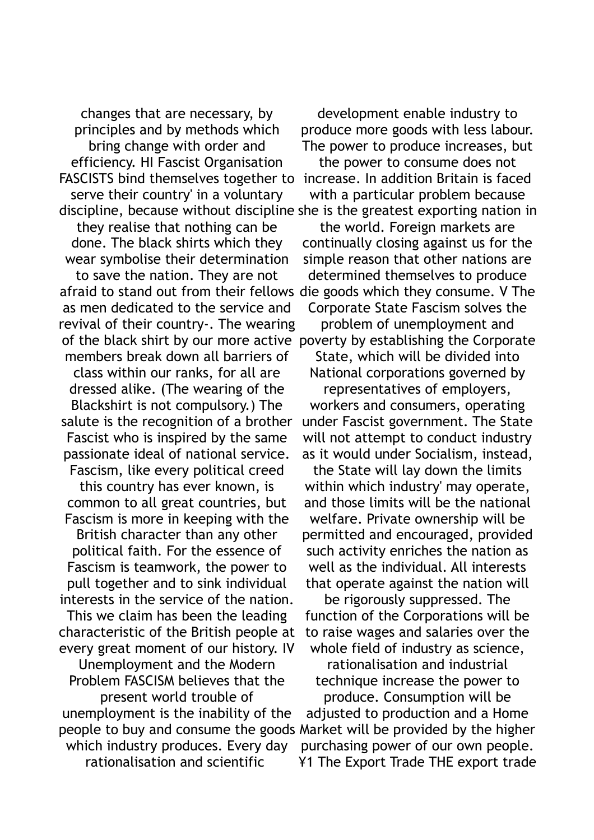changes that are necessary, by principles and by methods which bring change with order and efficiency. HI Fascist Organisation FASCISTS bind themselves together to increase. In addition Britain is faced serve their country' in a voluntary discipline, because without discipline she is the greatest exporting nation in they realise that nothing can be done. The black shirts which they wear symbolise their determination to save the nation. They are not afraid to stand out from their fellows die goods which they consume. V The as men dedicated to the service and revival of their country-. The wearing of the black shirt by our more active poverty by establishing the Corporate members break down all barriers of class within our ranks, for all are dressed alike. (The wearing of the Blackshirt is not compulsory.) The salute is the recognition of a brother Fascist who is inspired by the same passionate ideal of national service. Fascism, like every political creed this country has ever known, is common to all great countries, but Fascism is more in keeping with the British character than any other political faith. For the essence of Fascism is teamwork, the power to pull together and to sink individual interests in the service of the nation. This we claim has been the leading characteristic of the British people at every great moment of our history. IV Unemployment and the Modern Problem FASCISM believes that the present world trouble of unemployment is the inability of the people to buy and consume the goods Market will be provided by the higher which industry produces. Every day rationalisation and scientific

development enable industry to produce more goods with less labour. The power to produce increases, but

the power to consume does not with a particular problem because

the world. Foreign markets are continually closing against us for the simple reason that other nations are determined themselves to produce Corporate State Fascism solves the

problem of unemployment and

State, which will be divided into National corporations governed by representatives of employers, workers and consumers, operating under Fascist government. The State will not attempt to conduct industry as it would under Socialism, instead,

the State will lay down the limits within which industry' may operate, and those limits will be the national welfare. Private ownership will be permitted and encouraged, provided such activity enriches the nation as well as the individual. All interests that operate against the nation will

be rigorously suppressed. The function of the Corporations will be to raise wages and salaries over the whole field of industry as science,

rationalisation and industrial technique increase the power to produce. Consumption will be

adjusted to production and a Home purchasing power of our own people. ¥1 The Export Trade THE export trade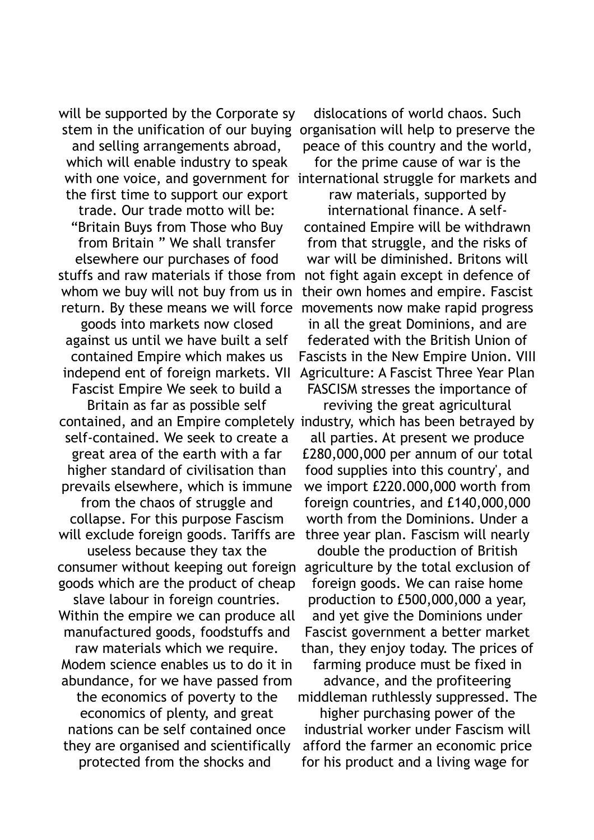will be supported by the Corporate sy and selling arrangements abroad, which will enable industry to speak the first time to support our export trade. Our trade motto will be: "Britain Buys from Those who Buy from Britain " We shall transfer elsewhere our purchases of food stuffs and raw materials if those from whom we buy will not buy from us in return. By these means we will force goods into markets now closed against us until we have built a self contained Empire which makes us independ ent of foreign markets. VII Fascist Empire We seek to build a Britain as far as possible self contained, and an Empire completely industry, which has been betrayed by self-contained. We seek to create a great area of the earth with a far higher standard of civilisation than prevails elsewhere, which is immune from the chaos of struggle and collapse. For this purpose Fascism will exclude foreign goods. Tariffs are useless because they tax the consumer without keeping out foreign agriculture by the total exclusion of goods which are the product of cheap slave labour in foreign countries. Within the empire we can produce all manufactured goods, foodstuffs and raw materials which we require. Modem science enables us to do it in abundance, for we have passed from the economics of poverty to the economics of plenty, and great nations can be self contained once they are organised and scientifically protected from the shocks and

stem in the unification of our buying organisation will help to preserve the dislocations of world chaos. Such peace of this country and the world,

with one voice, and government for international struggle for markets and for the prime cause of war is the

> raw materials, supported by international finance. A selfcontained Empire will be withdrawn from that struggle, and the risks of war will be diminished. Britons will not fight again except in defence of their own homes and empire. Fascist movements now make rapid progress in all the great Dominions, and are federated with the British Union of Fascists in the New Empire Union. VIII Agriculture: A Fascist Three Year Plan

FASCISM stresses the importance of reviving the great agricultural

all parties. At present we produce £280,000,000 per annum of our total food supplies into this country', and we import £220.000,000 worth from foreign countries, and £140,000,000 worth from the Dominions. Under a three year plan. Fascism will nearly

double the production of British foreign goods. We can raise home production to £500,000,000 a year, and yet give the Dominions under Fascist government a better market than, they enjoy today. The prices of farming produce must be fixed in

advance, and the profiteering middleman ruthlessly suppressed. The

higher purchasing power of the industrial worker under Fascism will afford the farmer an economic price for his product and a living wage for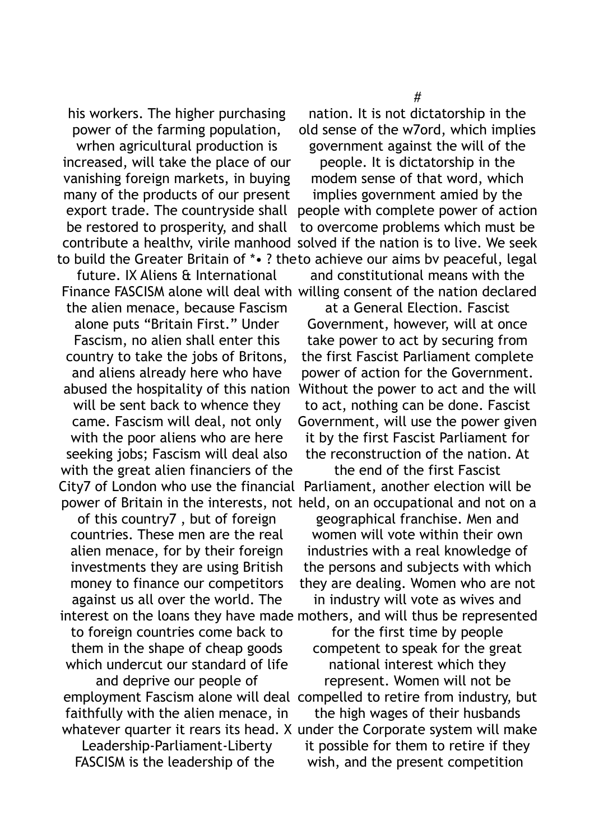his workers. The higher purchasing power of the farming population,

wrhen agricultural production is increased, will take the place of our vanishing foreign markets, in buying many of the products of our present export trade. The countryside shall be restored to prosperity, and shall

future. IX Aliens & International the alien menace, because Fascism alone puts "Britain First." Under Fascism, no alien shall enter this country to take the jobs of Britons, and aliens already here who have abused the hospitality of this nation will be sent back to whence they came. Fascism will deal, not only with the poor aliens who are here seeking jobs; Fascism will deal also with the great alien financiers of the City7 of London who use the financial

of this country7 , but of foreign countries. These men are the real alien menace, for by their foreign investments they are using British money to finance our competitors against us all over the world. The interest on the loans they have made mothers, and will thus be represented

to foreign countries come back to them in the shape of cheap goods which undercut our standard of life and deprive our people of faithfully with the alien menace, in Leadership-Parliament-Liberty

FASCISM is the leadership of the

nation. It is not dictatorship in the old sense of the w7ord, which implies government against the will of the

contribute a healthv, virile manhood solved if the nation is to live. We seek to build the Greater Britain of \*• ? the to achieve our aims bv peaceful, legal people. It is dictatorship in the modem sense of that word, which implies government amied by the people with complete power of action to overcome problems which must be

Finance FASCISM alone will deal with willing consent of the nation declared and constitutional means with the

> at a General Election. Fascist Government, however, will at once take power to act by securing from the first Fascist Parliament complete power of action for the Government. Without the power to act and the will to act, nothing can be done. Fascist Government, will use the power given it by the first Fascist Parliament for the reconstruction of the nation. At

power of Britain in the interests, not held, on an occupational and not on a the end of the first Fascist Parliament, another election will be

> geographical franchise. Men and women will vote within their own industries with a real knowledge of the persons and subjects with which they are dealing. Women who are not in industry will vote as wives and

employment Fascism alone will deal compelled to retire from industry, but whatever quarter it rears its head. X under the Corporate system will make for the first time by people competent to speak for the great national interest which they represent. Women will not be the high wages of their husbands it possible for them to retire if they wish, and the present competition